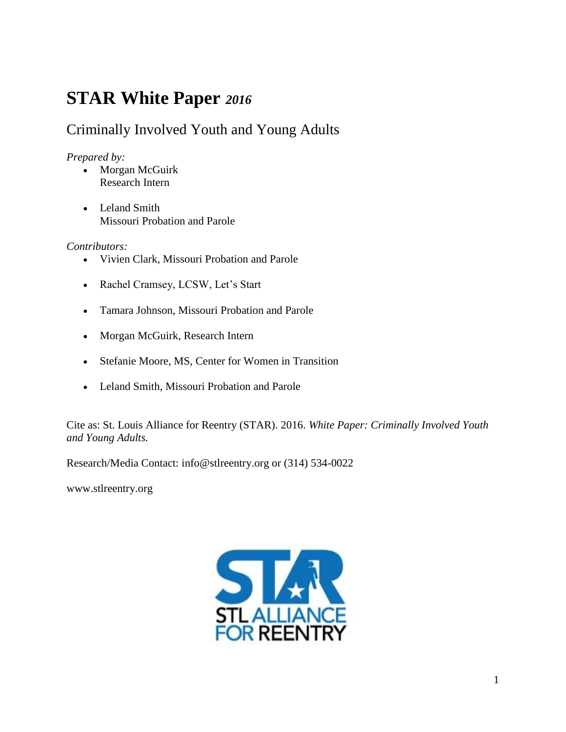# **STAR White Paper** *2016*

## Criminally Involved Youth and Young Adults

## *Prepared by:*

- Morgan McGuirk Research Intern
- Leland Smith Missouri Probation and Parole

## *Contributors:*

- Vivien Clark, Missouri Probation and Parole
- Rachel Cramsey, LCSW, Let's Start
- Tamara Johnson, Missouri Probation and Parole
- Morgan McGuirk, Research Intern
- Stefanie Moore, MS, Center for Women in Transition
- Leland Smith, Missouri Probation and Parole

Cite as: St. Louis Alliance for Reentry (STAR). 2016. *White Paper: Criminally Involved Youth and Young Adults.*

Research/Media Contact: info@stlreentry.org or (314) 534-0022

[www.stlreentry.org](http://www.stlreentry.org/)

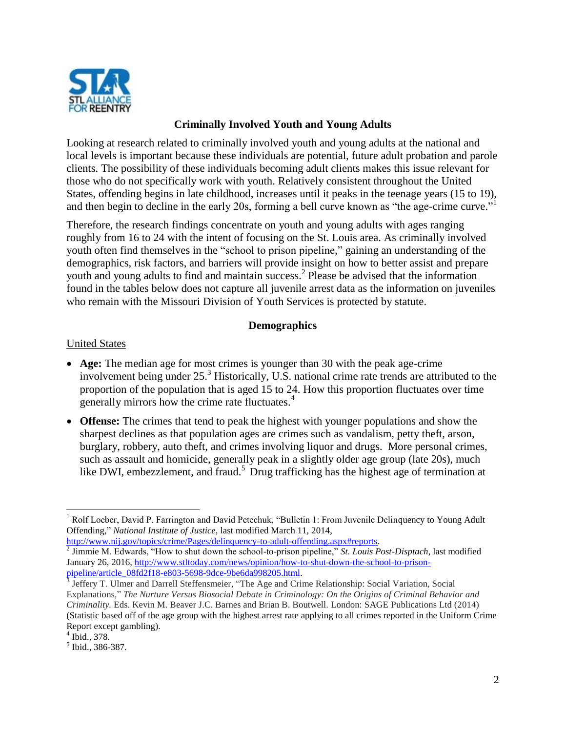

## **Criminally Involved Youth and Young Adults**

Looking at research related to criminally involved youth and young adults at the national and local levels is important because these individuals are potential, future adult probation and parole clients. The possibility of these individuals becoming adult clients makes this issue relevant for those who do not specifically work with youth. Relatively consistent throughout the United States, offending begins in late childhood, increases until it peaks in the teenage years (15 to 19), and then begin to decline in the early 20s, forming a bell curve known as "the age-crime curve."<sup>1</sup>

Therefore, the research findings concentrate on youth and young adults with ages ranging roughly from 16 to 24 with the intent of focusing on the St. Louis area. As criminally involved youth often find themselves in the "school to prison pipeline," gaining an understanding of the demographics, risk factors, and barriers will provide insight on how to better assist and prepare youth and young adults to find and maintain success.<sup>2</sup> Please be advised that the information found in the tables below does not capture all juvenile arrest data as the information on juveniles who remain with the Missouri Division of Youth Services is protected by statute.

#### **Demographics**

#### United States

- **Age:** The median age for most crimes is younger than 30 with the peak age-crime involvement being under 25.<sup>3</sup> Historically, U.S. national crime rate trends are attributed to the proportion of the population that is aged 15 to 24. How this proportion fluctuates over time generally mirrors how the crime rate fluctuates.<sup>4</sup>
- **Offense:** The crimes that tend to peak the highest with younger populations and show the sharpest declines as that population ages are crimes such as vandalism, petty theft, arson, burglary, robbery, auto theft, and crimes involving liquor and drugs. More personal crimes, such as assault and homicide, generally peak in a slightly older age group (late 20s), much like DWI, embezzlement, and fraud.<sup>5</sup> Drug trafficking has the highest age of termination at

<sup>&</sup>lt;sup>1</sup> Rolf Loeber, David P. Farrington and David Petechuk, "Bulletin 1: From Juvenile Delinquency to Young Adult Offending," *National Institute of Justice,* last modified March 11, 2014,

[http://www.nij.gov/topics/crime/Pages/delinquency-to-adult-offending.aspx#reports.](http://www.nij.gov/topics/crime/Pages/delinquency-to-adult-offending.aspx#reports) 2 Jimmie M. Edwards, "How to shut down the school-to-prison pipeline," *St. Louis Post-Disptach*, last modified January 26, 2016[, http://www.stltoday.com/news/opinion/how-to-shut-down-the-school-to-prison-](http://www.stltoday.com/news/opinion/how-to-shut-down-the-school-to-prison-pipeline/article_08fd2f18-e803-5698-9dce-9be6da998205.html)

[pipeline/article\\_08fd2f18-e803-5698-9dce-9be6da998205.html.](http://www.stltoday.com/news/opinion/how-to-shut-down-the-school-to-prison-pipeline/article_08fd2f18-e803-5698-9dce-9be6da998205.html)<br><sup>3</sup> Jeffery T. Ulmer and Darrell Steffensmeier, "The Age and Crime Relationship: Social Variation, Social Explanations," *The Nurture Versus Biosocial Debate in Criminology: On the Origins of Criminal Behavior and Criminality.* Eds. Kevin M. Beaver J.C. Barnes and Brian B. Boutwell. London: SAGE Publications Ltd (2014) (Statistic based off of the age group with the highest arrest rate applying to all crimes reported in the Uniform Crime Report except gambling).

<sup>4</sup> Ibid., 378.

<sup>5</sup> Ibid., 386-387.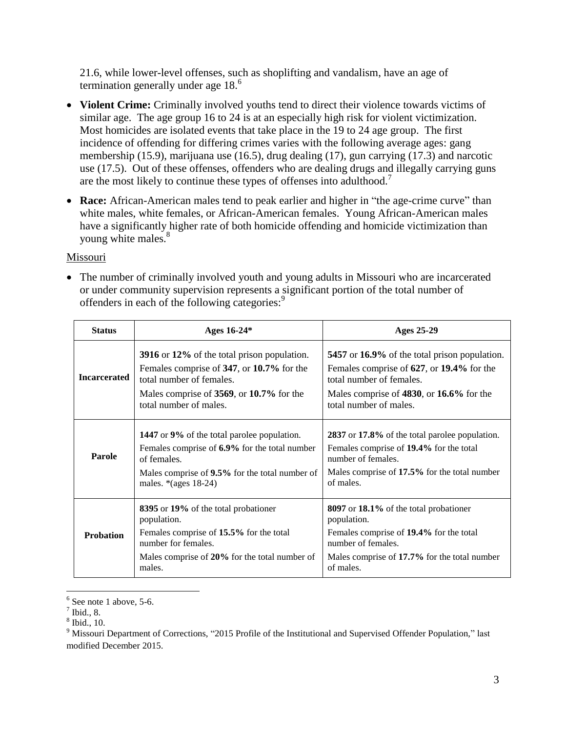21.6, while lower-level offenses, such as shoplifting and vandalism, have an age of termination generally under age  $18<sup>6</sup>$ 

- Violent Crime: Criminally involved youths tend to direct their violence towards victims of similar age. The age group 16 to 24 is at an especially high risk for violent victimization. Most homicides are isolated events that take place in the 19 to 24 age group. The first incidence of offending for differing crimes varies with the following average ages: gang membership (15.9), marijuana use (16.5), drug dealing (17), gun carrying (17.3) and narcotic use (17.5). Out of these offenses, offenders who are dealing drugs and illegally carrying guns are the most likely to continue these types of offenses into adulthood.<sup>7</sup>
- Race: African-American males tend to peak earlier and higher in "the age-crime curve" than white males, white females, or African-American females. Young African-American males have a significantly higher rate of both homicide offending and homicide victimization than young white males.<sup>8</sup>

#### Missouri

• The number of criminally involved youth and young adults in Missouri who are incarcerated or under community supervision represents a significant portion of the total number of offenders in each of the following categories: 9

| <b>Status</b>       | Ages 16-24*                                                                                                                                                                                    | Ages 25-29                                                                                                                                                                                        |
|---------------------|------------------------------------------------------------------------------------------------------------------------------------------------------------------------------------------------|---------------------------------------------------------------------------------------------------------------------------------------------------------------------------------------------------|
| <b>Incarcerated</b> | 3916 or 12% of the total prison population.<br>Females comprise of 347, or 10.7% for the<br>total number of females.<br>Males comprise of 3569, or 10.7% for the<br>total number of males.     | 5457 or 16.9% of the total prison population.<br>Females comprise of 627, or 19.4% for the<br>total number of females.<br>Males comprise of 4830, or 16.6% for the<br>total number of males.      |
| Parole              | <b>1447</b> or 9% of the total parolee population.<br>Females comprise of 6.9% for the total number<br>of females.<br>Males comprise of 9.5% for the total number of<br>males. $*(ages 18-24)$ | 2837 or 17.8% of the total parolee population.<br>Females comprise of 19.4% for the total<br>number of females.<br>Males comprise of 17.5% for the total number<br>of males.                      |
| <b>Probation</b>    | 8395 or 19% of the total probationer<br>population.<br>Females comprise of 15.5% for the total<br>number for females.<br>Males comprise of 20% for the total number of<br>males.               | <b>8097</b> or <b>18.1%</b> of the total probationer<br>population.<br>Females comprise of 19.4% for the total<br>number of females.<br>Males comprise of 17.7% for the total number<br>of males. |

 $\overline{a}$  $6$  See note 1 above, 5-6.

 $^7$  Ibid., 8.

<sup>8</sup> Ibid., 10.

<sup>&</sup>lt;sup>9</sup> Missouri Department of Corrections, "2015 Profile of the Institutional and Supervised Offender Population," last modified December 2015.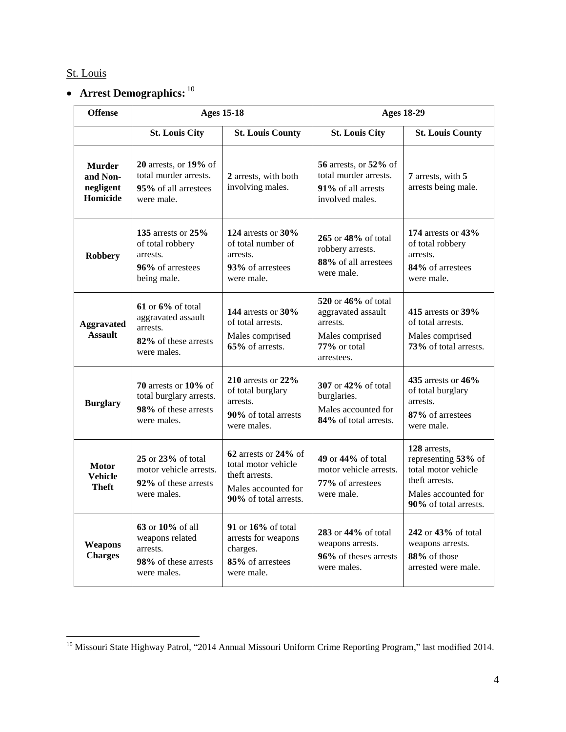## St. Louis

 $\overline{a}$ 

## **Arrest Demographics:** 10

| <b>Offense</b>                                     | <b>Ages 15-18</b>                                                                               |                                                                                                               | <b>Ages 18-29</b>                                                                                      |                                                                                                                              |
|----------------------------------------------------|-------------------------------------------------------------------------------------------------|---------------------------------------------------------------------------------------------------------------|--------------------------------------------------------------------------------------------------------|------------------------------------------------------------------------------------------------------------------------------|
|                                                    | <b>St. Louis City</b>                                                                           | <b>St. Louis County</b>                                                                                       | <b>St. Louis City</b>                                                                                  | <b>St. Louis County</b>                                                                                                      |
| <b>Murder</b><br>and Non-<br>negligent<br>Homicide | 20 arrests, or 19% of<br>total murder arrests.<br>95% of all arrestees<br>were male.            | 2 arrests, with both<br>involving males.                                                                      | 56 arrests, or 52% of<br>total murder arrests.<br>91% of all arrests<br>involved males.                | 7 arrests, with 5<br>arrests being male.                                                                                     |
| <b>Robbery</b>                                     | 135 arrests or 25%<br>of total robbery<br>arrests.<br>96% of arrestees<br>being male.           | 124 arrests or 30%<br>of total number of<br>arrests.<br>93% of arrestees<br>were male.                        | 265 or 48% of total<br>robbery arrests.<br>88% of all arrestees<br>were male.                          | 174 arrests or 43%<br>of total robbery<br>arrests.<br>84% of arrestees<br>were male.                                         |
| <b>Aggravated</b><br><b>Assault</b>                | $61$ or $6\%$ of total<br>aggravated assault<br>arrests.<br>82% of these arrests<br>were males. | 144 arrests or 30%<br>of total arrests.<br>Males comprised<br>65% of arrests.                                 | 520 or 46% of total<br>aggravated assault<br>arrests.<br>Males comprised<br>77% or total<br>arrestees. | 415 arrests or 39%<br>of total arrests.<br>Males comprised<br>73% of total arrests.                                          |
| <b>Burglary</b>                                    | 70 arrests or $10\%$ of<br>total burglary arrests.<br>98% of these arrests<br>were males.       | 210 arrests or 22%<br>of total burglary<br>arrests.<br>90% of total arrests<br>were males.                    | 307 or 42% of total<br>burglaries.<br>Males accounted for<br>84% of total arrests.                     | 435 arrests or 46%<br>of total burglary<br>arrests.<br>87% of arrestees<br>were male.                                        |
| <b>Motor</b><br><b>Vehicle</b><br>Theft            | 25 or 23% of total<br>motor vehicle arrests.<br>92% of these arrests<br>were males.             | 62 arrests or 24% of<br>total motor vehicle<br>theft arrests.<br>Males accounted for<br>90% of total arrests. | 49 or 44% of total<br>motor vehicle arrests.<br>77% of arrestees<br>were male.                         | 128 arrests,<br>representing 53% of<br>total motor vehicle<br>theft arrests.<br>Males accounted for<br>90% of total arrests. |
| Weapons<br><b>Charges</b>                          | 63 or 10% of all<br>weapons related<br>arrests.<br>98% of these arrests<br>were males.          | 91 or 16% of total<br>arrests for weapons<br>charges.<br>85% of arrestees<br>were male.                       | 283 or 44% of total<br>weapons arrests.<br>96% of theses arrests<br>were males.                        | 242 or 43% of total<br>weapons arrests.<br>88% of those<br>arrested were male.                                               |

<sup>&</sup>lt;sup>10</sup> Missouri State Highway Patrol, "2014 Annual Missouri Uniform Crime Reporting Program," last modified 2014.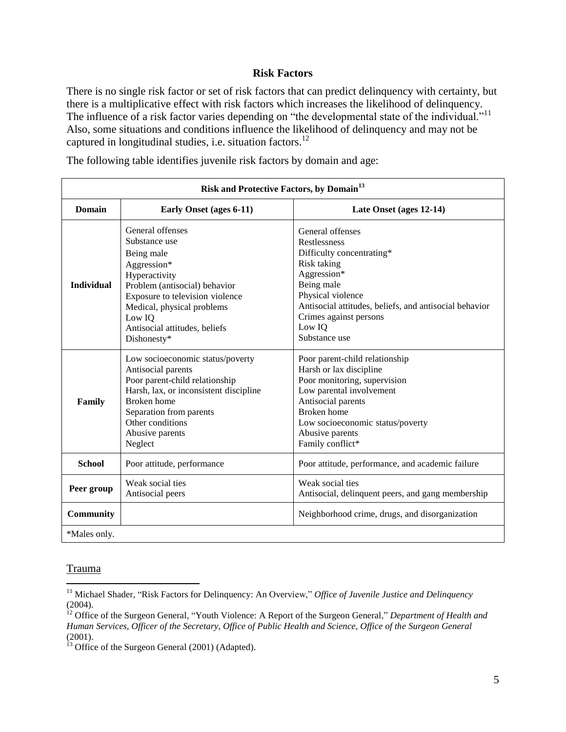#### **Risk Factors**

There is no single risk factor or set of risk factors that can predict delinquency with certainty, but there is a multiplicative effect with risk factors which increases the likelihood of delinquency. The influence of a risk factor varies depending on "the developmental state of the individual."<sup>11</sup> Also, some situations and conditions influence the likelihood of delinquency and may not be captured in longitudinal studies, i.e. situation factors.<sup>12</sup>

| Risk and Protective Factors, by Domain <sup>13</sup> |                                                                                                                                                                                                                                             |                                                                                                                                                                                                                                                      |  |  |  |
|------------------------------------------------------|---------------------------------------------------------------------------------------------------------------------------------------------------------------------------------------------------------------------------------------------|------------------------------------------------------------------------------------------------------------------------------------------------------------------------------------------------------------------------------------------------------|--|--|--|
| <b>Domain</b>                                        | Early Onset (ages 6-11)                                                                                                                                                                                                                     | Late Onset (ages 12-14)                                                                                                                                                                                                                              |  |  |  |
| <b>Individual</b>                                    | General offenses<br>Substance use<br>Being male<br>Aggression*<br>Hyperactivity<br>Problem (antisocial) behavior<br>Exposure to television violence<br>Medical, physical problems<br>Low IQ<br>Antisocial attitudes, beliefs<br>Dishonesty* | General offenses<br><b>Restlessness</b><br>Difficulty concentrating*<br>Risk taking<br>Aggression*<br>Being male<br>Physical violence<br>Antisocial attitudes, beliefs, and antisocial behavior<br>Crimes against persons<br>Low IQ<br>Substance use |  |  |  |
| Family                                               | Low socioeconomic status/poverty<br>Antisocial parents<br>Poor parent-child relationship<br>Harsh, lax, or inconsistent discipline<br>Broken home<br>Separation from parents<br>Other conditions<br>Abusive parents<br>Neglect              | Poor parent-child relationship<br>Harsh or lax discipline<br>Poor monitoring, supervision<br>Low parental involvement<br>Antisocial parents<br><b>Broken</b> home<br>Low socioeconomic status/poverty<br>Abusive parents<br>Family conflict*         |  |  |  |
| <b>School</b>                                        | Poor attitude, performance                                                                                                                                                                                                                  | Poor attitude, performance, and academic failure                                                                                                                                                                                                     |  |  |  |
| Peer group                                           | Weak social ties<br>Antisocial peers                                                                                                                                                                                                        | Weak social ties<br>Antisocial, delinquent peers, and gang membership                                                                                                                                                                                |  |  |  |
| <b>Community</b>                                     |                                                                                                                                                                                                                                             | Neighborhood crime, drugs, and disorganization                                                                                                                                                                                                       |  |  |  |
| *Males only.                                         |                                                                                                                                                                                                                                             |                                                                                                                                                                                                                                                      |  |  |  |

The following table identifies juvenile risk factors by domain and age:

#### **Trauma**

<sup>&</sup>lt;sup>11</sup> Michael Shader, "Risk Factors for Delinquency: An Overview," Office of Juvenile Justice and Delinquency (2004).

<sup>&</sup>lt;sup>12</sup> Office of the Surgeon General, "Youth Violence: A Report of the Surgeon General," *Department of Health and Human Services, Officer of the Secretary, Office of Public Health and Science, Office of the Surgeon General* (2001).

<sup>&</sup>lt;sup>13</sup> Office of the Surgeon General (2001) (Adapted).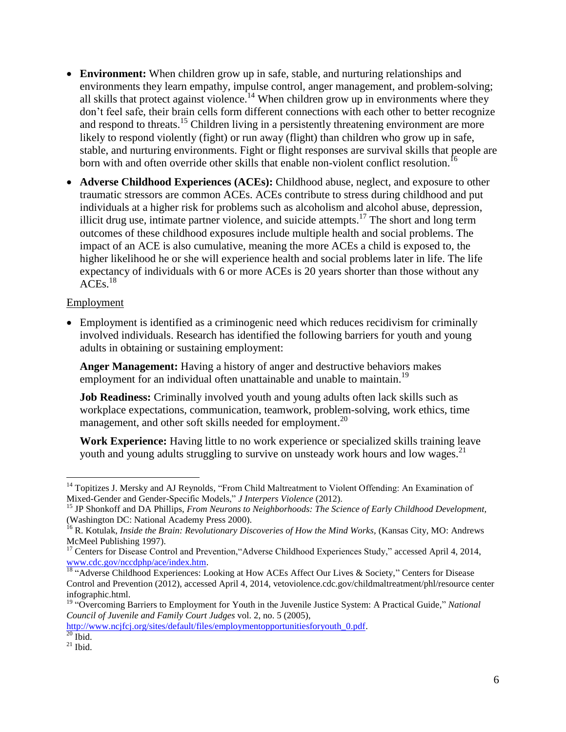- **Environment:** When children grow up in safe, stable, and nurturing relationships and environments they learn empathy, impulse control, anger management, and problem-solving; all skills that protect against violence.<sup>14</sup> When children grow up in environments where they don't feel safe, their brain cells form different connections with each other to better recognize and respond to threats.<sup>15</sup> Children living in a persistently threatening environment are more likely to respond violently (fight) or run away (flight) than children who grow up in safe, stable, and nurturing environments. Fight or flight responses are survival skills that people are born with and often override other skills that enable non-violent conflict resolution.<sup>16</sup>
- **Adverse Childhood Experiences (ACEs):** Childhood abuse, neglect, and exposure to other traumatic stressors are common ACEs. ACEs contribute to stress during childhood and put individuals at a higher risk for problems such as alcoholism and alcohol abuse, depression, illicit drug use, intimate partner violence, and suicide attempts.<sup>17</sup> The short and long term outcomes of these childhood exposures include multiple health and social problems. The impact of an ACE is also cumulative, meaning the more ACEs a child is exposed to, the higher likelihood he or she will experience health and social problems later in life. The life expectancy of individuals with 6 or more ACEs is 20 years shorter than those without any  $ACEs.<sup>18</sup>$

#### Employment

 Employment is identified as a criminogenic need which reduces recidivism for criminally involved individuals. Research has identified the following barriers for youth and young adults in obtaining or sustaining employment:

**Anger Management:** Having a history of anger and destructive behaviors makes employment for an individual often unattainable and unable to maintain.<sup>19</sup>

**Job Readiness:** Criminally involved youth and young adults often lack skills such as workplace expectations, communication, teamwork, problem-solving, work ethics, time management, and other soft skills needed for employment.<sup>20</sup>

**Work Experience:** Having little to no work experience or specialized skills training leave youth and young adults struggling to survive on unsteady work hours and low wages.<sup>21</sup>

[http://www.ncjfcj.org/sites/default/files/employmentopportunitiesforyouth\\_0.pdf.](http://www.ncjfcj.org/sites/default/files/employmentopportunitiesforyouth_0.pdf)  $20$  Ibid.

<sup>&</sup>lt;sup>14</sup> Topitizes J. Mersky and AJ Reynolds, "From Child Maltreatment to Violent Offending: An Examination of Mixed-Gender and Gender-Specific Models," *J Interpers Violence* (2012).

<sup>15</sup> JP Shonkoff and DA Phillips, *From Neurons to Neighborhoods: The Science of Early Childhood Development,* (Washington DC: National Academy Press 2000).

<sup>&</sup>lt;sup>16</sup> R. Kotulak, *Inside the Brain: Revolutionary Discoveries of How the Mind Works*, (Kansas City, MO: Andrews McMeel Publishing 1997).

<sup>&</sup>lt;sup>17</sup> Centers for Disease Control and Prevention, "Adverse Childhood Experiences Study," accessed April 4, 2014, [www.cdc.gov/nccdphp/ace/index.htm.](http://www.cdc.gov/nccdphp/ace/index.htm)

<sup>&</sup>lt;sup>18</sup> "Adverse Childhood Experiences: Looking at How ACEs Affect Our Lives & Society," Centers for Disease Control and Prevention (2012), accessed April 4, 2014, vetoviolence.cdc.gov/childmaltreatment/phl/resource center infographic.html.

<sup>19</sup> "Overcoming Barriers to Employment for Youth in the Juvenile Justice System: A Practical Guide," *National Council of Juvenile and Family Court Judges* vol. 2, no. 5 (2005),

 $21$  Ibid.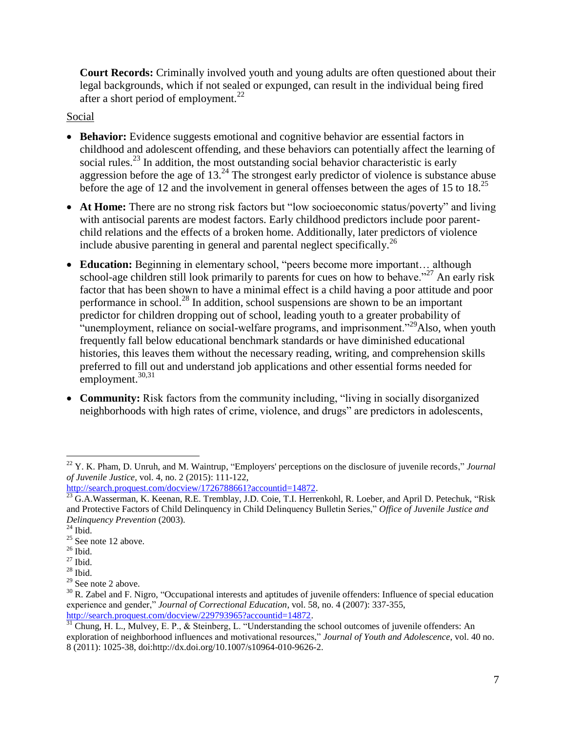**Court Records:** Criminally involved youth and young adults are often questioned about their legal backgrounds, which if not sealed or expunged, can result in the individual being fired after a short period of employment. $^{22}$ 

Social

- Behavior: Evidence suggests emotional and cognitive behavior are essential factors in childhood and adolescent offending, and these behaviors can potentially affect the learning of social rules.<sup>23</sup> In addition, the most outstanding social behavior characteristic is early aggression before the age of  $13^{24}$ . The strongest early predictor of violence is substance abuse before the age of 12 and the involvement in general offenses between the ages of 15 to 18.<sup>25</sup>
- At Home: There are no strong risk factors but "low socioeconomic status/poverty" and living with antisocial parents are modest factors. Early childhood predictors include poor parentchild relations and the effects of a broken home. Additionally, later predictors of violence include abusive parenting in general and parental neglect specifically.<sup>26</sup>
- **Education:** Beginning in elementary school, "peers become more important... although school-age children still look primarily to parents for cues on how to behave."<sup>27</sup> An early risk factor that has been shown to have a minimal effect is a child having a poor attitude and poor performance in school.<sup>28</sup> In addition, school suspensions are shown to be an important predictor for children dropping out of school, leading youth to a greater probability of "unemployment, reliance on social-welfare programs, and imprisonment."<sup>29</sup>Also, when youth frequently fall below educational benchmark standards or have diminished educational histories, this leaves them without the necessary reading, writing, and comprehension skills preferred to fill out and understand job applications and other essential forms needed for employment.<sup>30,31</sup>
- **Community:** Risk factors from the community including, "living in socially disorganized neighborhoods with high rates of crime, violence, and drugs" are predictors in adolescents,

<sup>22</sup> Y. K. Pham, D. Unruh, and M. Waintrup, "Employers' perceptions on the disclosure of juvenile records," *Journal of Juvenile Justice,* vol. 4, no. 2 (2015): 111-122,

[http://search.proquest.com/docview/1726788661?accountid=14872.](http://search.proquest.com/docview/1726788661?accountid=14872)

<sup>&</sup>lt;sup>23</sup> G.A.Wasserman, K. Keenan, R.E. Tremblay, J.D. Coie, T.I. Herrenkohl, R. Loeber, and April D. Petechuk, "Risk and Protective Factors of Child Delinquency in Child Delinquency Bulletin Series," *Office of Juvenile Justice and Delinquency Prevention* (2003).

 $24$  Ibid.

 $25$  See note 12 above.

 $26$  Ibid.

 $27$  Ibid.

 $28$  Ibid.

<sup>&</sup>lt;sup>29</sup> See note 2 above.

 $30$  R. Zabel and F. Nigro, "Occupational interests and aptitudes of juvenile offenders: Influence of special education experience and gender," *Journal of Correctional Education*, vol. 58, no. 4 (2007): 337-355, [http://search.proquest.com/docview/229793965?accountid=14872.](http://search.proquest.com/docview/229793965?accountid=14872)

 $31$  Chung, H. L., Mulvey, E. P., & Steinberg, L. "Understanding the school outcomes of juvenile offenders: An exploration of neighborhood influences and motivational resources," *Journal of Youth and Adolescence*, vol. 40 no. 8 (2011): 1025-38, doi:http://dx.doi.org/10.1007/s10964-010-9626-2.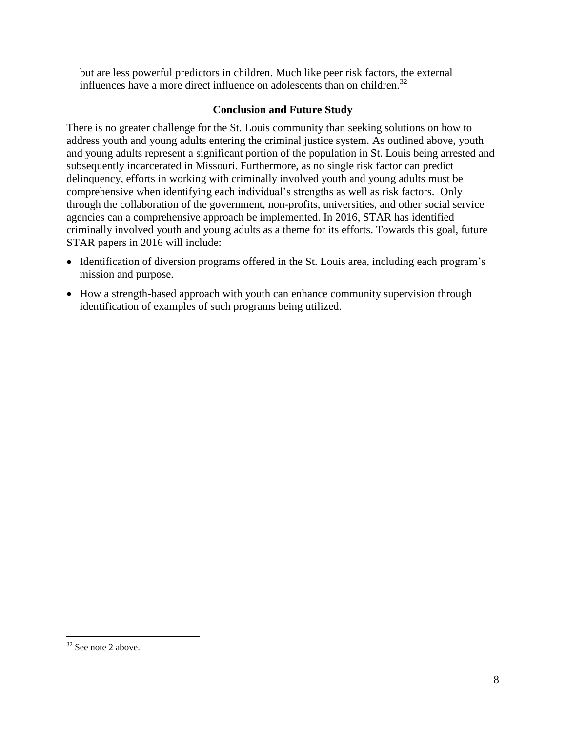but are less powerful predictors in children. Much like peer risk factors, the external influences have a more direct influence on adolescents than on children.<sup>32</sup>

## **Conclusion and Future Study**

There is no greater challenge for the St. Louis community than seeking solutions on how to address youth and young adults entering the criminal justice system. As outlined above, youth and young adults represent a significant portion of the population in St. Louis being arrested and subsequently incarcerated in Missouri. Furthermore, as no single risk factor can predict delinquency, efforts in working with criminally involved youth and young adults must be comprehensive when identifying each individual's strengths as well as risk factors. Only through the collaboration of the government, non-profits, universities, and other social service agencies can a comprehensive approach be implemented. In 2016, STAR has identified criminally involved youth and young adults as a theme for its efforts. Towards this goal, future STAR papers in 2016 will include:

- Identification of diversion programs offered in the St. Louis area, including each program's mission and purpose.
- How a strength-based approach with youth can enhance community supervision through identification of examples of such programs being utilized.

 $32$  See note 2 above.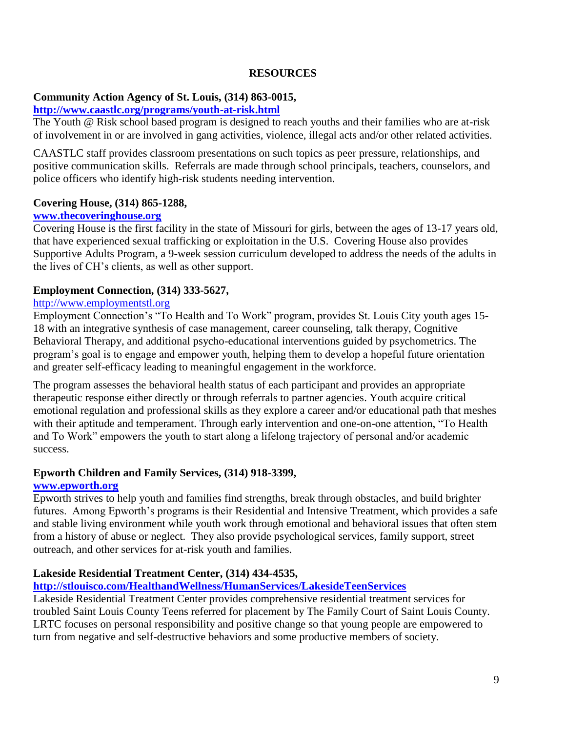#### **RESOURCES**

#### **Community Action Agency of St. Louis, (314) 863-0015,**

## **<http://www.caastlc.org/programs/youth-at-risk.html>**

The Youth @ Risk school based program is designed to reach youths and their families who are at-risk of involvement in or are involved in gang activities, violence, illegal acts and/or other related activities.

CAASTLC staff provides classroom presentations on such topics as peer pressure, relationships, and positive communication skills. Referrals are made through school principals, teachers, counselors, and police officers who identify high-risk students needing intervention.

## **Covering House, (314) 865-1288,**

## **[www.thecoveringhouse.org](http://www.thecoveringhouse.org/)**

Covering House is the first facility in the state of Missouri for girls, between the ages of 13-17 years old, that have experienced sexual trafficking or exploitation in the U.S. Covering House also provides Supportive Adults Program, a 9-week session curriculum developed to address the needs of the adults in the lives of CH's clients, as well as other support.

## **Employment Connection, (314) 333-5627,**

## http://www.employmentstl.org

Employment Connection's "To Health and To Work" program, provides St. Louis City youth ages 15- 18 with an integrative synthesis of case management, career counseling, talk therapy, Cognitive Behavioral Therapy, and additional psycho-educational interventions guided by psychometrics. The program's goal is to engage and empower youth, helping them to develop a hopeful future orientation and greater self-efficacy leading to meaningful engagement in the workforce.

The program assesses the behavioral health status of each participant and provides an appropriate therapeutic response either directly or through referrals to partner agencies. Youth acquire critical emotional regulation and professional skills as they explore a career and/or educational path that meshes with their aptitude and temperament. Through early intervention and one-on-one attention, "To Health and To Work" empowers the youth to start along a lifelong trajectory of personal and/or academic success.

## **Epworth Children and Family Services, (314) 918-3399,**

## **[www.epworth.org](http://www.epworth.org/)**

Epworth strives to help youth and families find strengths, break through obstacles, and build brighter futures. Among Epworth's programs is their Residential and Intensive Treatment, which provides a safe and stable living environment while youth work through emotional and behavioral issues that often stem from a history of abuse or neglect. They also provide psychological services, family support, street outreach, and other services for at-risk youth and families.

## **Lakeside Residential Treatment Center, (314) 434-4535,**

## **<http://stlouisco.com/HealthandWellness/HumanServices/LakesideTeenServices>**

Lakeside Residential Treatment Center provides comprehensive residential treatment services for troubled Saint Louis County Teens referred for placement by The Family Court of Saint Louis County. LRTC focuses on personal responsibility and positive change so that young people are empowered to turn from negative and self-destructive behaviors and some productive members of society.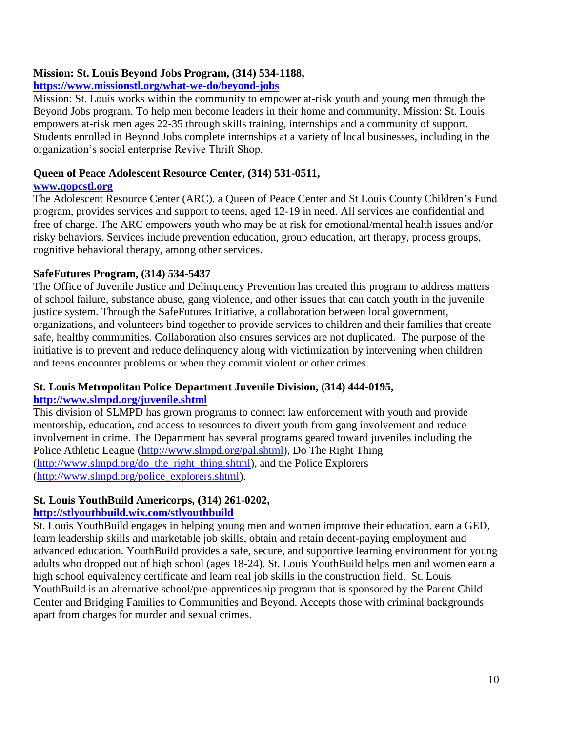## **Mission: St. Louis Beyond Jobs Program, (314) 534-1188,**

## **<https://www.missionstl.org/what-we-do/beyond-jobs>**

Mission: St. Louis works within the community to empower at-risk youth and young men through the Beyond Jobs program. To help men become leaders in their home and community, Mission: St. Louis empowers at-risk men ages 22-35 through skills training, internships and a community of support. Students enrolled in Beyond Jobs complete internships at a variety of local businesses, including in the organization's social enterprise Revive Thrift Shop.

## **Queen of Peace Adolescent Resource Center, (314) 531-0511,**

#### **[www.qopcstl.org](http://www.qopcstl.org/)**

The Adolescent Resource Center (ARC), a Queen of Peace Center and St Louis County Children's Fund program, provides services and support to teens, aged 12-19 in need. All services are confidential and free of charge. The ARC empowers youth who may be at risk for emotional/mental health issues and/or risky behaviors. Services include prevention education, group education, art therapy, process groups, cognitive behavioral therapy, among other services.

## **SafeFutures Program, (314) 534-5437**

The Office of Juvenile Justice and Delinquency Prevention has created this program to address matters of school failure, substance abuse, gang violence, and other issues that can catch youth in the juvenile justice system. Through the SafeFutures Initiative, a collaboration between local government, organizations, and volunteers bind together to provide services to children and their families that create safe, healthy communities. Collaboration also ensures services are not duplicated. The purpose of the initiative is to prevent and reduce delinquency along with victimization by intervening when children and teens encounter problems or when they commit violent or other crimes.

## **St. Louis Metropolitan Police Department Juvenile Division, (314) 444-0195, <http://www.slmpd.org/juvenile.shtml>**

This division of SLMPD has grown programs to connect law enforcement with youth and provide mentorship, education, and access to resources to divert youth from gang involvement and reduce involvement in crime. The Department has several programs geared toward juveniles including the Police Athletic League [\(http://www.slmpd.org/pal.shtml\)](http://www.slmpd.org/pal.shtml), Do The Right Thing [\(http://www.slmpd.org/do\\_the\\_right\\_thing.shtml\)](http://www.slmpd.org/do_the_right_thing.shtml), and the Police Explorers [\(http://www.slmpd.org/police\\_explorers.shtml\)](http://www.slmpd.org/police_explorers.shtml).

## **St. Louis YouthBuild Americorps, (314) 261-0202,**

## **<http://stlyouthbuild.wix.com/stlyouthbuild>**

St. Louis YouthBuild engages in helping young men and women improve their education, earn a GED, learn leadership skills and marketable job skills, obtain and retain decent-paying employment and advanced education. YouthBuild provides a safe, secure, and supportive learning environment for young adults who dropped out of high school (ages 18-24). St. Louis YouthBuild helps men and women earn a high school equivalency certificate and learn real job skills in the construction field. St. Louis YouthBuild is an alternative school/pre-apprenticeship program that is sponsored by the Parent Child Center and Bridging Families to Communities and Beyond. Accepts those with criminal backgrounds apart from charges for murder and sexual crimes.